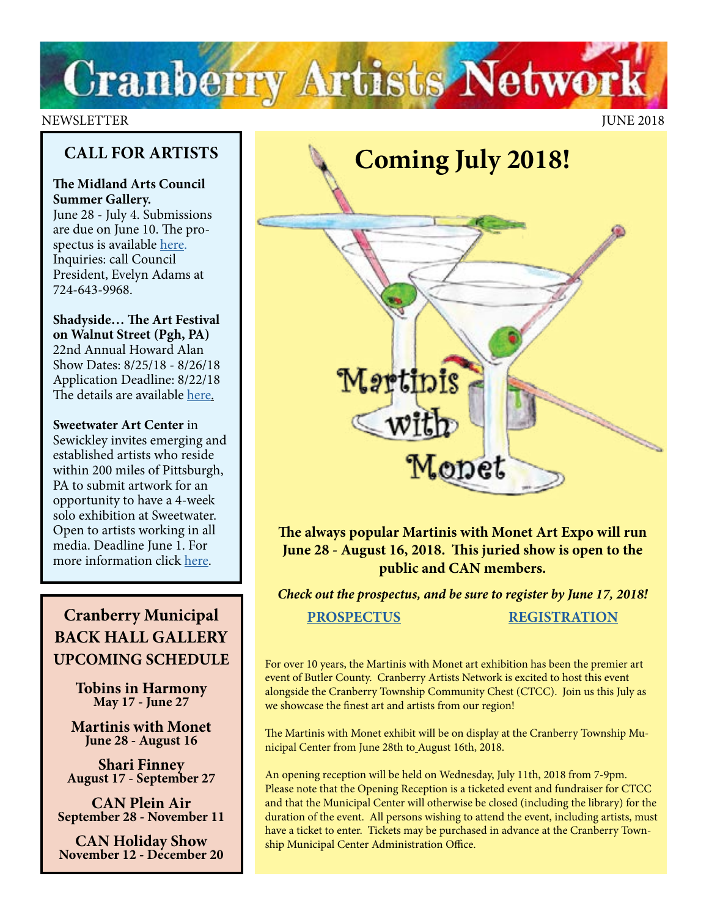

## NEWSLETTER JUNE 2018

## **CALL FOR ARTISTS**

## **The Midland Arts Council Summer Gallery.**

June 28 - July 4. Submissions are due on June 10. The prospectus is available [here.](http://midland-arts-council-pa.com) Inquiries: call Council President, Evelyn Adams at 724-643-9968.

**Shadyside… The Art Festival on Walnut Street (Pgh, PA)** 22nd Annual Howard Alan Show Dates: 8/25/18 - 8/26/18 Application Deadline: 8/22/18 The details are available [here](https://www.zapplication.org/event-info.php?ID=6118).

**Sweetwater Art Center** in Sewickley invites emerging and established artists who reside within 200 miles of Pittsburgh, PA to submit artwork for an opportunity to have a 4-week solo exhibition at Sweetwater. Open to artists working in all media. Deadline June 1. For more information click [here](http://sweetwaterartcenter.org/call_for_artists/solo-exhibition-oppportunity/).

# **Cranberry Municipal BACK HALL GALLERY UPCOMING SCHEDULE**

**Tobins in Harmony May 17 - June 27**

**Martinis with Monet June 28 - August 16**

**Shari Finney August 17 - September 27**

**CAN Plein Air September 28 - November 11**

**CAN Holiday Show November 12 - December 20**



**The always popular Martinis with Monet Art Expo will run June 28 - August 16, 2018. This juried show is open to the public and CAN members.**

*Check out the prospectus, and be sure to register by June 17, 2018!* **[PROSPECTUS](https://docs.wixstatic.com/ugd/5391af_01b622aa248c47ae943f7b9001a39b03.pdf) [REGISTRATION](https://www.cranberryartistsnetwork.com/copy-of-martinis-show-2017)**

For over 10 years, the Martinis with Monet art exhibition has been the premier art event of Butler County. Cranberry Artists Network is excited to host this event alongside the Cranberry Township Community Chest (CTCC). Join us this July as we showcase the finest art and artists from our region!

The Martinis with Monet exhibit will be on display at the Cranberry Township Municipal Center from June 28th to August 16th, 2018.

An opening reception will be held on Wednesday, July 11th, 2018 from 7-9pm. Please note that the Opening Reception is a ticketed event and fundraiser for CTCC and that the Municipal Center will otherwise be closed (including the library) for the duration of the event. All persons wishing to attend the event, including artists, must have a ticket to enter. Tickets may be purchased in advance at the Cranberry Township Municipal Center Administration Office.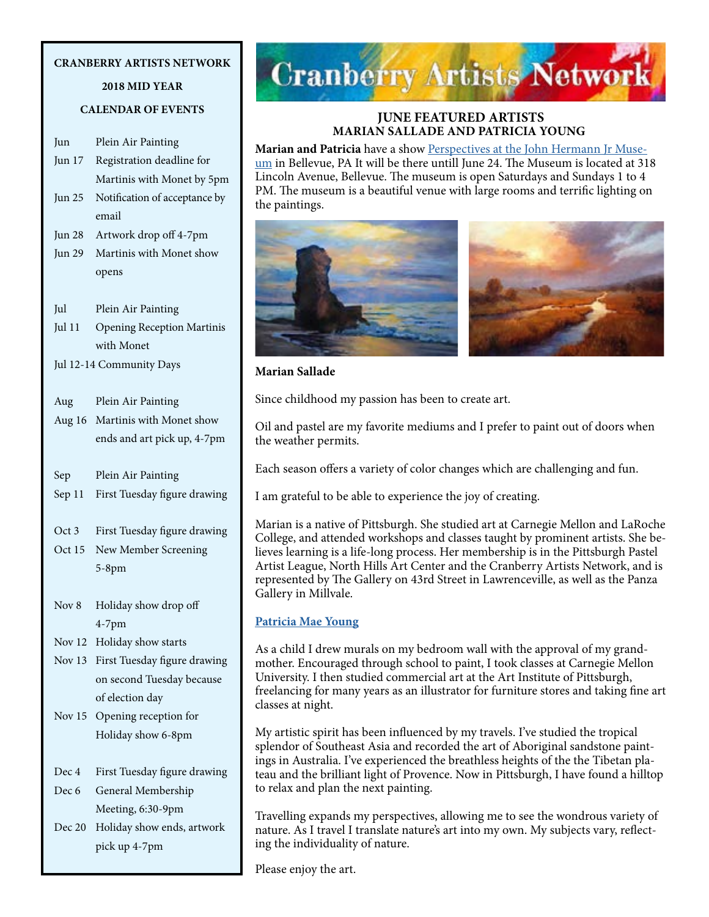## **CRANBERRY ARTISTS NETWORK**

## **2018 MID YEAR**

## **CALENDAR OF EVENTS**

| Jun      | Plein Air Painting                |
|----------|-----------------------------------|
| Jun 17   | Registration deadline for         |
|          | Martinis with Monet by 5pm        |
| Jun 25   | Notification of acceptance by     |
|          | email                             |
| Jun 28   | Artwork drop off 4-7pm            |
| Jun 29   | Martinis with Monet show          |
|          | opens                             |
| Jul      | Plein Air Painting                |
| Jul 11   | <b>Opening Reception Martinis</b> |
|          | with Monet                        |
|          | Jul 12-14 Community Days          |
| Aug      | Plein Air Painting                |
| Aug 16   | Martinis with Monet show          |
|          | ends and art pick up, 4-7pm       |
| Sep      | Plein Air Painting                |
| Sep 11   | First Tuesday figure drawing      |
| Oct 3    | First Tuesday figure drawing      |
| Oct $15$ | New Member Screening              |
|          | $5-8$ pm                          |
| Nov 8    | Holiday show drop off             |
|          | $4-7$ pm                          |
| Nov $12$ | Holiday show starts               |
| Nov 13   | First Tuesday figure drawing      |
|          | on second Tuesday because         |
|          | of election day                   |
| Nov 15   | Opening reception for             |
|          | Holiday show 6-8pm                |
| Dec 4    | First Tuesday figure drawing      |
| Dec 6    | General Membership                |
|          | Meeting, 6:30-9pm                 |
| Dec 20   | Holiday show ends, artwork        |

pick up 4-7pm



## **JUNE FEATURED ARTISTS MARIAN SALLADE AND PATRICIA YOUNG**

**Marian and Patricia** have a show [Perspectives at the John Hermann Jr Muse](http://www.johnhermannmuseum.org/index.htm)[um](http://www.johnhermannmuseum.org/index.htm) in Bellevue, PA It will be there untill June 24. The Museum is located at 318 Lincoln Avenue, Bellevue. The museum is open Saturdays and Sundays 1 to 4 PM. The museum is a beautiful venue with large rooms and terrific lighting on the paintings.



#### **Marian Sallade**

Since childhood my passion has been to create art.

Oil and pastel are my favorite mediums and I prefer to paint out of doors when the weather permits.

Each season offers a variety of color changes which are challenging and fun.

I am grateful to be able to experience the joy of creating.

Marian is a native of Pittsburgh. She studied art at Carnegie Mellon and LaRoche College, and attended workshops and classes taught by prominent artists. She believes learning is a life-long process. Her membership is in the Pittsburgh Pastel Artist League, North Hills Art Center and the Cranberry Artists Network, and is represented by The Gallery on 43rd Street in Lawrenceville, as well as the Panza Gallery in Millvale.

## **[Patricia Mae Young](http://art.net/~patricia/WorldWideArtScapes/index.htm)**

As a child I drew murals on my bedroom wall with the approval of my grandmother. Encouraged through school to paint, I took classes at Carnegie Mellon University. I then studied commercial art at the Art Institute of Pittsburgh, freelancing for many years as an illustrator for furniture stores and taking fine art classes at night.

My artistic spirit has been influenced by my travels. I've studied the tropical splendor of Southeast Asia and recorded the art of Aboriginal sandstone paintings in Australia. I've experienced the breathless heights of the the Tibetan plateau and the brilliant light of Provence. Now in Pittsburgh, I have found a hilltop to relax and plan the next painting.

Travelling expands my perspectives, allowing me to see the wondrous variety of nature. As I travel I translate nature's art into my own. My subjects vary, reflecting the individuality of nature.

Please enjoy the art.